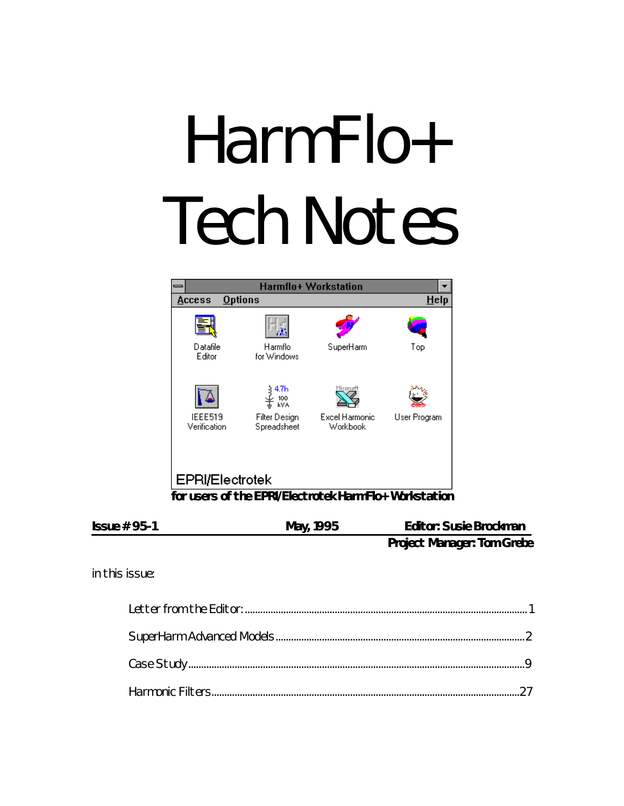# HarmFlo+ **Tech Notes**



| May, 1995 | <b>Editor: Susie Brockman</b>     |
|-----------|-----------------------------------|
|           | <b>Project Manager: Tom Grebe</b> |
|           |                                   |

in this issue: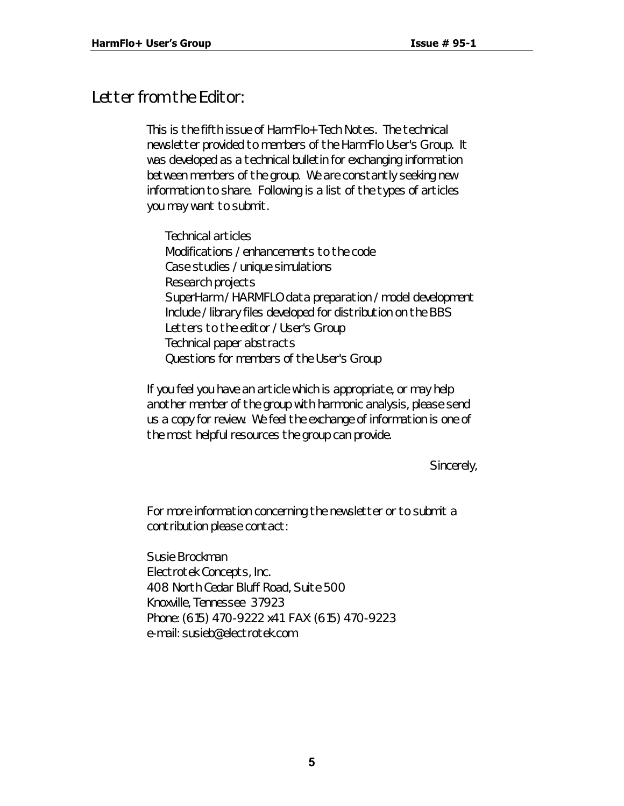## *Letter from the Editor:*

This is the fifth issue of *HarmFlo+ Tech Notes*. The technical newsletter provided to members of the HarmFlo User's Group. It was developed as a technical bulletin for exchanging information between members of the group. We are constantly seeking new information to share. Following is a list of the types of articles you may want to submit.

Technical articles Modifications / enhancements to the code Case studies / unique simulations Research projects SuperHarm / HARMFLO data preparation / model development Include / library files developed for distribution on the BBS Letters to the editor / User's Group Technical paper abstracts Questions for members of the User's Group

If you feel you have an article which is appropriate, or may help another member of the group with harmonic analysis, please send us a copy for review. We feel the exchange of information is one of the most helpful resources the group can provide.

Sincerely,

For more information concerning the newsletter or to submit a contribution please contact:

Susie Brockman Electrotek Concepts, Inc. 408 North Cedar Bluff Road, Suite 500 Knoxville, Tennessee 37923 Phone: (615) 470-9222 x41 FAX: (615) 470-9223 e-mail: susieb@electrotek.com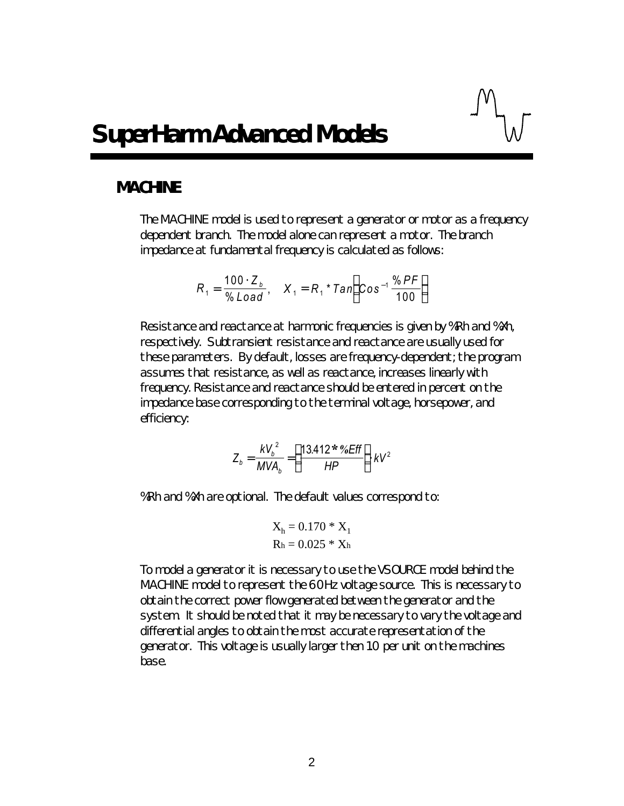## *MACHINE*

The MACHINE model is used to represent a generator or motor as a frequency dependent branch. The model alone can represent a motor. The branch impedance at fundamental frequency is calculated as follows:

$$
R_1 = \frac{100 \cdot Z_b}{\% \text{Load}}, \quad X_1 = R_1 * \text{Tan}\left(\text{Cos}^{-1} \frac{\% \text{ PF}}{100}\right)
$$

Resistance and reactance at harmonic frequencies is given by %Rh and %Xh, respectively. Subtransient resistance and reactance are usually used for these parameters. By default, losses are frequency-dependent; the program assumes that resistance, as well as reactance, increases linearly with frequency. Resistance and reactance should be entered in percent on the impedance base corresponding to the terminal voltage, horsepower, and efficiency:

$$
Z_b = \frac{kV_b^2}{MVA_b} = \left(\frac{13.412 \cdot \frac{96}{6}}{HP}\right) kV^2
$$

%Rh and %Xh are optional. The default values correspond to:

$$
X_h = 0.170 * X_1
$$
  
Rh = 0.025 \* Xh

To model a generator it is necessary to use the VSOURCE model behind the MACHINE model to represent the 60Hz voltage source. This is necessary to obtain the correct power flow generated between the generator and the system. It should be noted that it may be necessary to vary the voltage and differential angles to obtain the most accurate representation of the generator. This voltage is usually larger then 1.0 per unit on the machines base.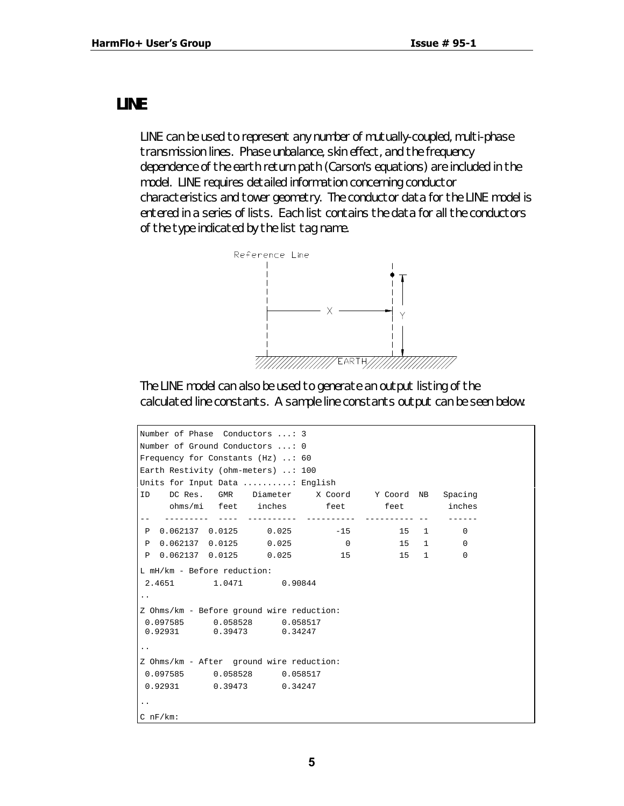## *LINE*

LINE can be used to represent any number of mutually-coupled, multi-phase transmission lines. Phase unbalance, skin effect, and the frequency dependence of the earth return path (Carson's equations) are included in the model. LINE requires detailed information concerning conductor characteristics and tower geometry. The conductor data for the LINE model is entered in a series of lists. Each list contains the data for all the conductors of the type indicated by the list tag name.



The LINE model can also be used to generate an output listing of the calculated line constants. A sample line constants output can be seen below:

```
Number of Phase Conductors ...: 3
Number of Ground Conductors ...: 0
Frequency for Constants (Hz) ..: 60
Earth Restivity (ohm-meters) ..: 100
Units for Input Data ..........: English
ID DC Res. GMR Diameter X Coord Y Coord NB Spacing
    ohms/mi feet inches feet feet inches
   -- --------- ---- ---------- ---------- ---------- -- ------
 P 0.062137 0.0125 0.025 -15 15 1 0
 P 0.062137 0.0125 0.025 0 15 1 0
 P 0.062137 0.0125 0.025 15 15 1 0
L mH/km - Before reduction:
 2.4651 1.0471 0.90844
..
Z Ohms/km - Before ground wire reduction:
 0.097585 0.058528 0.058517
          0.39473
..
Z Ohms/km - After ground wire reduction:
 0.097585 0.058528 0.058517
 0.92931 0.39473 0.34247
..
C nF/km:
```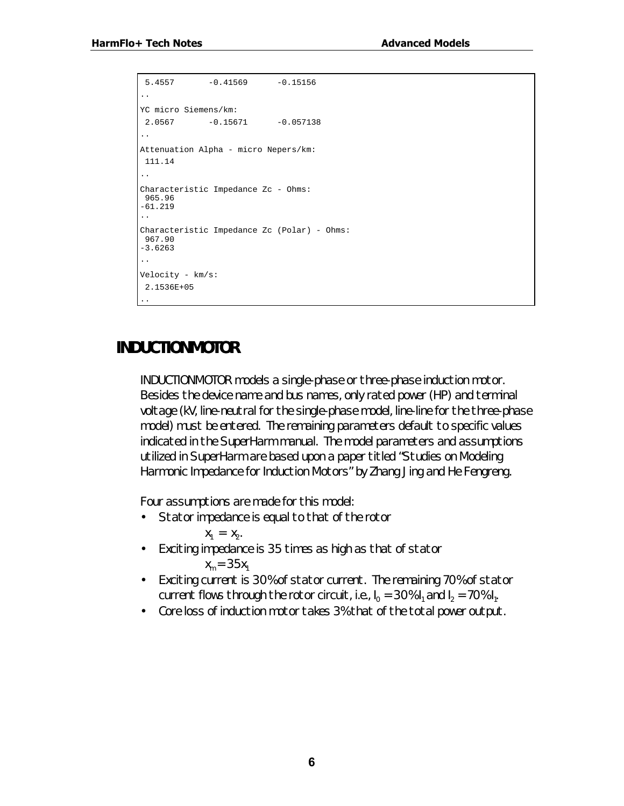```
5.4557 -0.41569 -0.15156..
YC micro Siemens/km:
2.0567 -0.15671 -0.057138..
Attenuation Alpha - micro Nepers/km:
 111.14
..
Characteristic Impedance Zc - Ohms:
 965.96
-61.219
..
Characteristic Impedance Zc (Polar) - Ohms:
 967.90
-3.6263
..
Velocity - km/s:
 2.1536E+05
..
```
# *INDUCTIONMOTOR*

INDUCTIONMOTOR models a single-phase or three-phase induction motor. Besides the device name and bus names, only rated power (HP) and terminal voltage (kV, line-neutral for the single-phase model, line-line for the three-phase model) must be entered. The remaining parameters default to specific values indicated in the SuperHarm manual. The model parameters and assumptions utilized in SuperHarm are based upon a paper titled "Studies on Modeling Harmonic Impedance for Induction Motors" by Zhang Jing and He Fengreng.

Four assumptions are made for this model:

- Stator impedance is equal to that of the rotor
- $X_1 = X_2$ . • Exciting impedance is 35 times as high as that of stator  $x_m = 35x_1$
- Exciting current is 30% of stator current. The remaining 70% of stator current flows through the rotor circuit, i.e.,  $I_0 = 30\% I_1$  and  $I_2 = 70\% I_1$ .
- Core loss of induction motor takes 3% that of the total power output.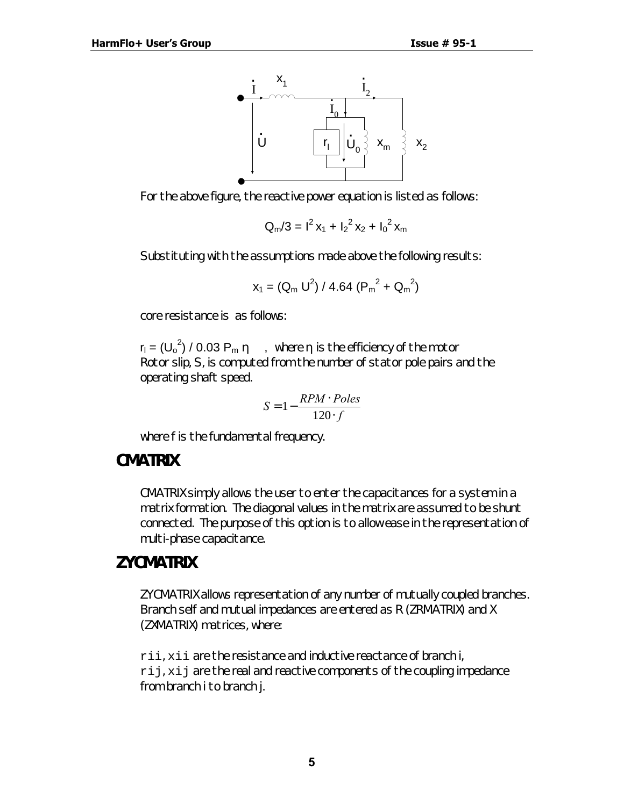

For the above figure, the reactive power equation is listed as follows:

$$
Q_m/3 = I^2 x_1 + I_2^2 x_2 + I_0^2 x_m
$$

Substituting with the assumptions made above the following results:

$$
x_1 = (Q_m U^2) / 4.64 (P_m^2 + Q_m^2)
$$

core resistance is as follows:

 $r_1 = (U_0^2) / 0.03 P_m \eta$ , where  $\eta$  is the efficiency of the motor Rotor slip, S, is computed from the number of stator pole pairs and the operating shaft speed.

$$
S = 1 - \frac{RPM \cdot Poles}{120 \cdot f}
$$

where *f* is the fundamental frequency.

#### *CMATRIX*

CMATRIX simply allows the user to enter the capacitances for a system in a matrix formation. The diagonal values in the matrix are assumed to be shunt connected. The purpose of this option is to allow ease in the representation of multi-phase capacitance.

## *ZYCMATRIX*

ZYCMATRIX allows representation of any number of mutually coupled branches. Branch self and mutual impedances are entered as R (ZRMATRIX) and X (ZXMATRIX) matrices, where:

rii, xii are the resistance and inductive reactance of branch i, rij, xij are the real and reactive components of the coupling impedance from branch i to branch j.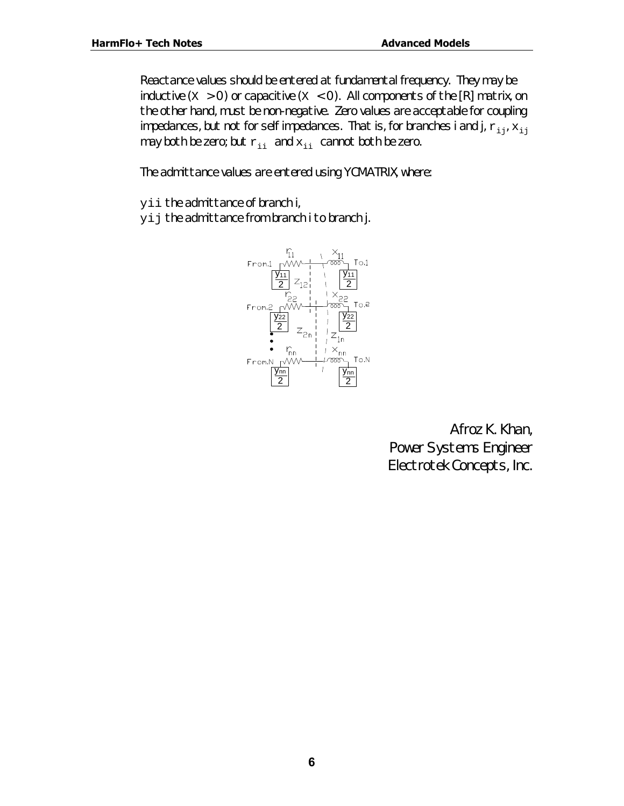Reactance values should be entered at fundamental frequency. They may be inductive  $(X > 0)$  or capacitive  $(X < 0)$ . All components of the [R] matrix, on the other hand, must be non-negative. Zero values are acceptable for coupling impedances, but not for self impedances. That is, for branches i and j,  $r_{i,j}$ ,  $x_{i,j}$ may both be zero; but  $r_{ii}$  and  $x_{ii}$  cannot both be zero.

The admittance values are entered using YCMATRIX, where:

yii the admittance of branch i,

yij the admittance from branch i to branch j.



*Afroz K. Khan, Power Systems Engineer Electrotek Concepts, Inc.*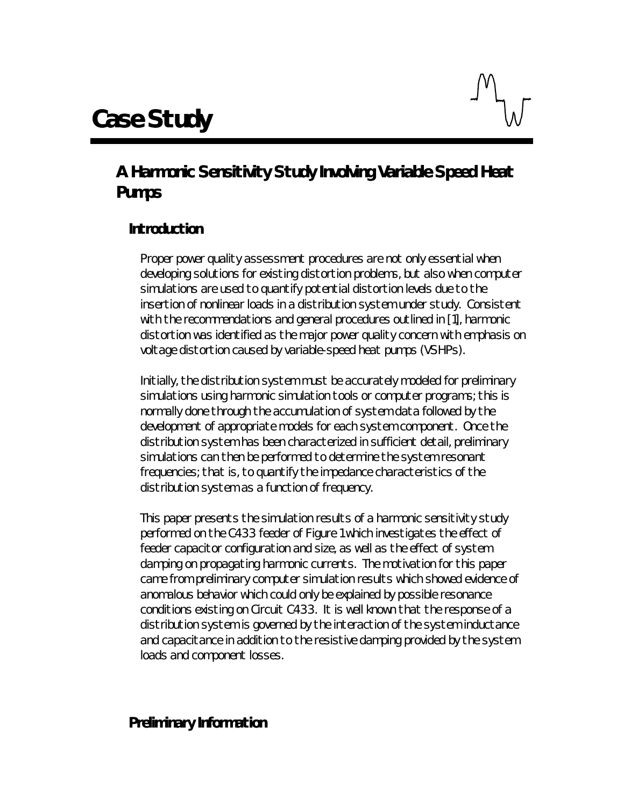

# *A Harmonic Sensitivity Study Involving Variable Speed Heat Pumps*

## **Introduction**

Proper power quality assessment procedures are not only essential when developing solutions for existing distortion problems, but also when computer simulations are used to quantify potential distortion levels due to the insertion of nonlinear loads in a distribution system under study. Consistent with the recommendations and general procedures outlined in [1], harmonic distortion was identified as the major power quality concern with emphasis on voltage distortion caused by variable-speed heat pumps (VSHPs).

Initially, the distribution system must be accurately modeled for preliminary simulations using harmonic simulation tools or computer programs; this is normally done through the accumulation of system data followed by the development of *appropriate* models for each system component. Once the distribution system has been characterized in sufficient detail, preliminary simulations can then be performed to determine the system resonant frequencies; that is, to quantify the impedance characteristics of the distribution system as a function of frequency.

This paper presents the simulation results of a harmonic sensitivity study performed on the C433 feeder of Figure 1 which investigates the effect of feeder capacitor configuration and size, as well as the effect of system damping on propagating harmonic currents. The motivation for this paper came from preliminary computer simulation results which showed evidence of anomalous behavior which could only be explained by possible resonance conditions existing on Circuit C433. It is well known that the response of a distribution system is governed by the interaction of the system inductance and capacitance in addition to the resistive damping provided by the system loads and component losses.

## **Preliminary Information**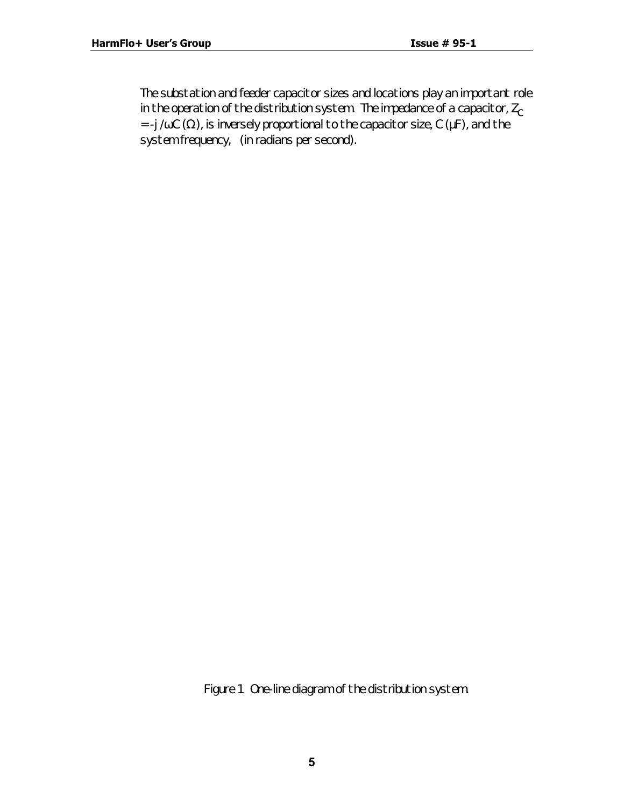The substation and feeder capacitor sizes and locations play an important role in the operation of the distribution system. The impedance of a capacitor,  $Z_c$ *= -j /wC (*Ω*)*, is inversely proportional to the capacitor size, *C* (µF), and the system frequency, (in radians per second).

*Figure 1 One-line diagram of the distribution system.*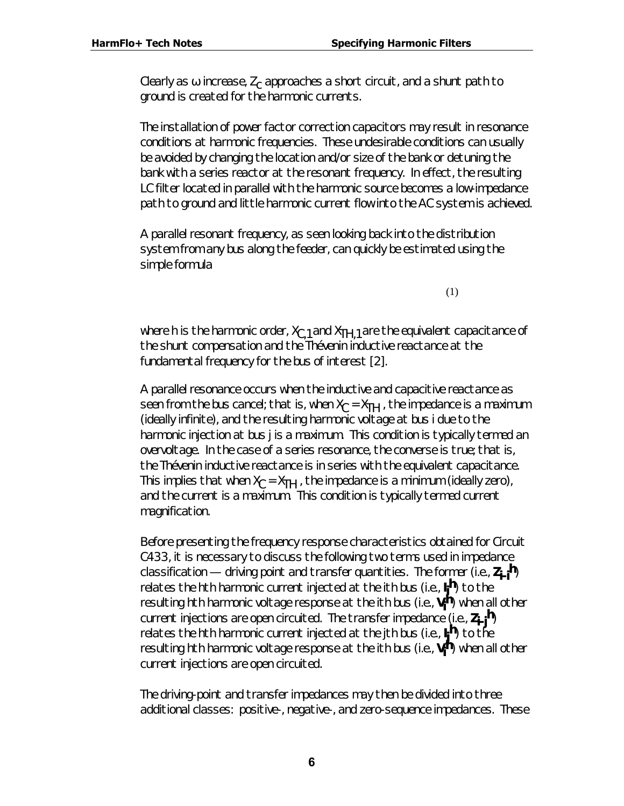Clearly as  $\pmb{w}$  increase,  $Z_\mathcal{C}$  approaches a short circuit, and a shunt path to ground is created for the harmonic currents.

The installation of power factor correction capacitors may result in resonance conditions at harmonic frequencies. These undesirable conditions can usually be avoided by changing the location and/or size of the bank or detuning the bank with a series reactor at the resonant frequency. In effect, the resulting LC filter located in parallel with the harmonic source becomes a low-impedance path to ground and little harmonic current flow into the AC system is achieved.

A parallel resonant frequency, as seen looking back into the distribution system from any bus along the feeder, can quickly be estimated using the simple formula

(1)

where *h* is the harmonic order,  $X_{C,I}$  and  $X_{TH,I}$  are the equivalent capacitance of the shunt compensation and the Thévenin inductive reactance at the fundamental frequency for the bus of interest [2].

A parallel resonance occurs when the inductive and capacitive reactance as seen from the bus cancel; that is, when  $X_C = X_{TH}$  , the impedance is a maximum (ideally infinite), and the resulting harmonic voltage at bus *i* due to the harmonic injection at bus *j* is a maximum. This condition is typically termed an overvoltage. In the case of a series resonance, the converse is true; that is, the Thévenin inductive reactance is in series with the equivalent capacitance. This implies that when  $X_C$  =  $X_{TH}$  , the impedance is a minimum (ideally zero), and the current is a maximum. This condition is typically termed current magnification.

Before presenting the frequency response characteristics obtained for Circuit C433, it is necessary to discuss the following two terms used in impedance classification — driving point and transfer quantities. The former (i.e., *Zi-ih*) relates the *h*th harmonic current injected at the *i*th bus (i.e., *I h*) to the *i* resulting *h*th harmonic voltage response at the *i*th bus (i.e., *Vi h*) when *all other current injections* are open circuited. The transfer impedance (i.e., *Zi-jh*) relates the *h*th harmonic current injected at the *j*th bus (i.e., *I j h*) to the resulting *h*th harmonic voltage response at the *i*th bus (i.e., *Vi h*) when *all other current injections* are open circuited.

The driving-point and transfer impedances may then be divided into three additional classes: positive-, negative-, and zero-sequence impedances. These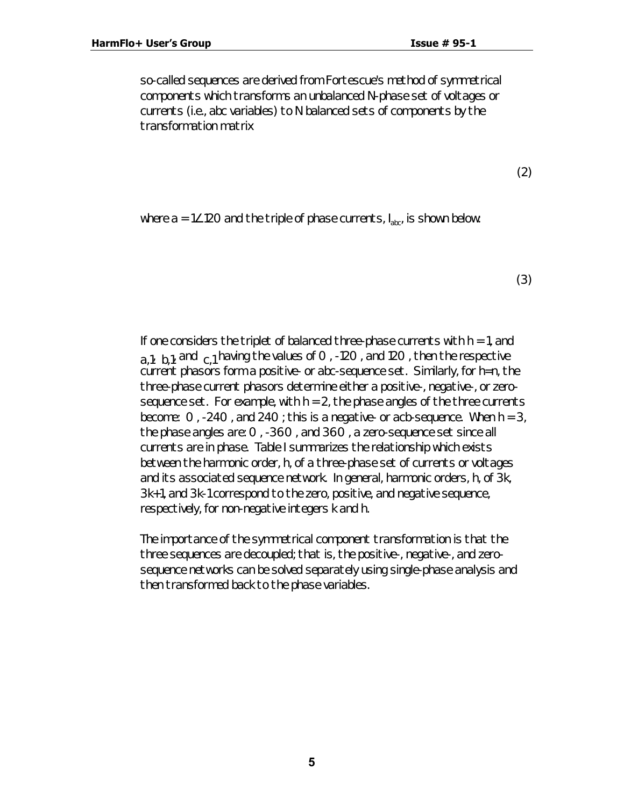so-called sequences are derived from Fortescue's method of symmetrical components which transforms an *unbalanced N*-phase set of voltages or currents (i.e., *abc* variables) to *N balanced sets* of components by the transformation matrix

(2)

where a = 1∠120 and the triple of phase currents,  $I_{\text{abc}}$  is shown below:

(3)

If one considers the triplet of balanced three-phase currents with *h = 1*, and  $a_1$ ,  $b_1$ , and  $c_1$  having the values of O, -120, and 120, then the respective current phasors form a positive- or *abc*-sequence set. Similarly, for *h=n*, the three-phase current phasors determine either a positive-, negative-, or zerosequence set. For example, with  $h = 2$ , the phase angles of the three currents become: 0 , -240 , and 240 ; this is a negative- or *acb*-sequence. When *h = 3*, the phase angles are: 0 , -360 , and 360 , a zero-sequence set since all currents are in phase. Table I summarizes the relationship which exists between the harmonic order, *h*, of a three-phase set of currents or voltages and its associated sequence network. In general, harmonic orders, *h*, of *3k*, *3k+1*, and *3k-1* correspond to the zero, positive, and negative sequence, respectively, for non-negative integers *k* and *h*.

The importance of the symmetrical component transformation is that the three sequences are decoupled; that is, the positive-, negative-, and zerosequence networks can be solved separately using single-phase analysis and then transformed back to the phase variables.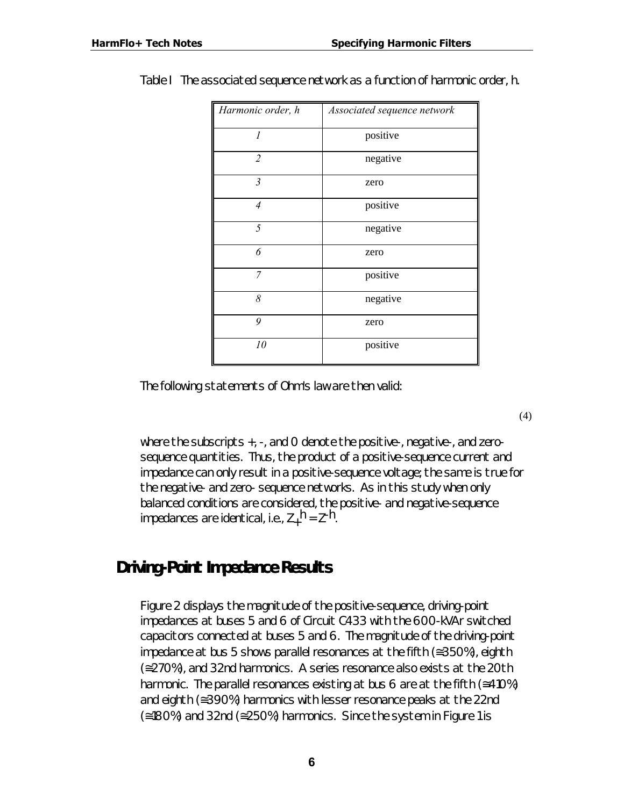| Harmonic order, h | Associated sequence network |
|-------------------|-----------------------------|
| 1                 | positive                    |
| $\overline{2}$    | negative                    |
| $\mathfrak{Z}$    | zero                        |
| $\overline{4}$    | positive                    |
| 5                 | negative                    |
| 6                 | zero                        |
| 7                 | positive                    |
| 8                 | negative                    |
| 9                 | zero                        |
| 10                | positive                    |

Table I The associated sequence network as a function of harmonic order, *h*.

The following statements of Ohm's law are then valid:

where the subscripts *+*, -, and *0* denote the positive-, negative-, and zerosequence quantities. Thus, the product of a positive-sequence current and impedance can only result in a positive-sequence voltage; the same is true for the negative- and zero- sequence networks. As in this study when only balanced conditions are considered, the positive- and negative-sequence impedances are identical, i.e., *Z+ h = Z-h*.

# *Driving-Point Impedance Results*

Figure 2 displays the magnitude of the positive-sequence, driving-point impedances at buses 5 and 6 of Circuit C433 with the 600-kVAr switched capacitors connected at buses 5 and 6. The magnitude of the driving-point impedance at bus 5 shows parallel resonances at the fifth (≅350%), eighth (≅270%), and 32nd harmonics. A series resonance also exists at the 20th harmonic. The parallel resonances existing at bus 6 are at the fifth ( $\approx$ 410%) and eighth (≅390%) harmonics with lesser resonance peaks at the 22nd (≅180%) and 32nd (≅250%) harmonics. Since the system in Figure 1 is

**6**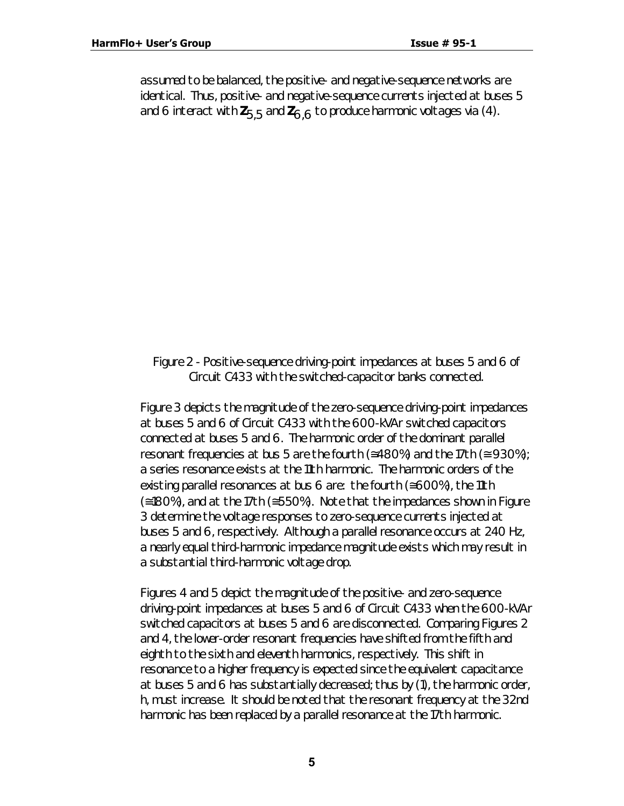assumed to be balanced, the positive- and negative-sequence networks are identical. Thus, positive- and negative-sequence currents injected at buses 5 and 6 interact with *Z5,5* and *Z6,6* to produce harmonic voltages via (4).

#### *Figure 2 - Positive-sequence driving-point impedances at buses 5 and 6 of Circuit C433 with the switched-capacitor banks connected.*

Figure 3 depicts the magnitude of the zero-sequence driving-point impedances at buses 5 and 6 of Circuit C433 with the 600-kVAr switched capacitors connected at buses 5 and 6. The harmonic order of the dominant parallel resonant frequencies at bus 5 are the fourth ( $\approx$ 480%) and the 17th ( $\approx$  930%); a series resonance exists at the 11th harmonic. The harmonic orders of the existing parallel resonances at bus 6 are: the fourth (≅600%), the 11th (≅180%), and at the 17th (≅550%). Note that the impedances shown in Figure 3 determine the voltage responses to zero-sequence currents injected at buses 5 and 6, respectively. Although a parallel resonance occurs at 240 Hz, a nearly equal third-harmonic impedance magnitude exists which may result in a substantial third-harmonic voltage drop.

Figures 4 and 5 depict the magnitude of the positive- and zero-sequence driving-point impedances at buses 5 and 6 of Circuit C433 when the 600-kVAr switched capacitors at buses 5 and 6 are disconnected. Comparing Figures 2 and 4, the lower-order resonant frequencies have shifted from the fifth and eighth to the sixth and eleventh harmonics, respectively. This shift in resonance to a higher frequency is expected since the equivalent capacitance at buses 5 and 6 has substantially decreased; thus by (1), the harmonic order, *h*, must increase. It should be noted that the resonant frequency at the 32nd harmonic has been replaced by a parallel resonance at the 17th harmonic.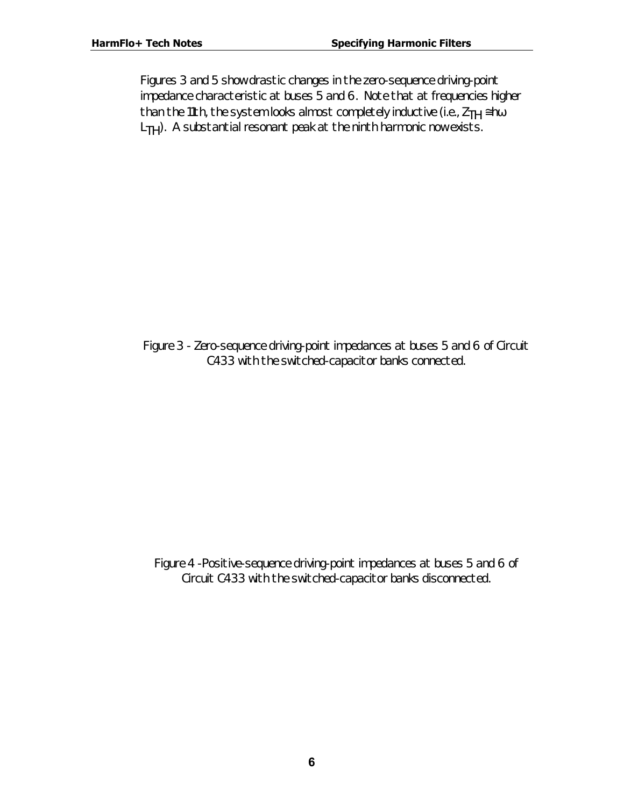Figures 3 and 5 show drastic changes in the zero-sequence driving-point impedance characteristic at buses 5 and 6. Note that at frequencies higher than the 11th, the system looks almost completely inductive (i.e., *ZTH* ≅*hw L<sub>TH</sub>*). A substantial resonant peak at the ninth harmonic now exists.

*Figure 3 - Zero-sequence driving-point impedances at buses 5 and 6 of Circuit C433 with the switched-capacitor banks connected.*

*Figure 4 -Positive-sequence driving-point impedances at buses 5 and 6 of Circuit C433 with the switched-capacitor banks disconnected.*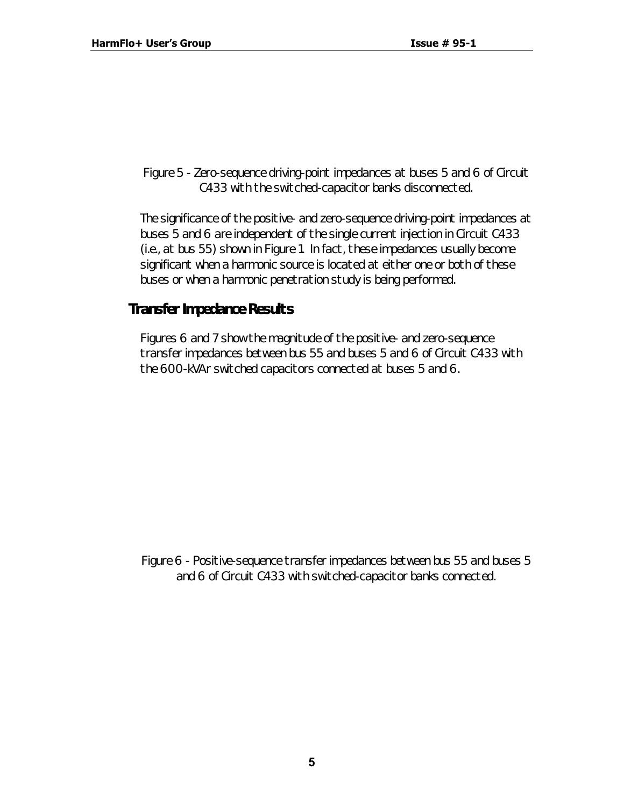#### *Figure 5 - Zero-sequence driving-point impedances at buses 5 and 6 of Circuit C433 with the switched-capacitor banks disconnected.*

The significance of the positive- and zero-sequence driving-point impedances at buses 5 and 6 are independent of the *single* current injection in Circuit C433 (i.e., at bus 55) shown in Figure 1. In fact, these impedances usually become significant when a harmonic source is located at either one or both of these buses or when a harmonic penetration study is being performed.

## **Transfer Impedance Results**

Figures 6 and 7 show the magnitude of the positive- and zero-sequence transfer impedances between bus 55 and buses 5 and 6 of Circuit C433 with the 600-kVAr switched capacitors connected at buses 5 and 6.

*Figure 6 - Positive-sequence transfer impedances between bus 55 and buses 5 and 6 of Circuit C433 with switched-capacitor banks connected.*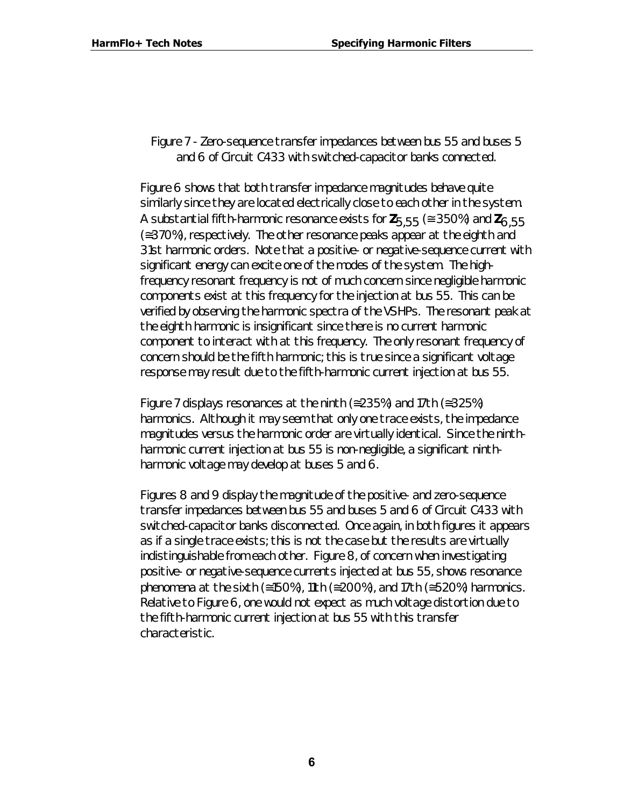#### *Figure 7 - Zero-sequence transfer impedances between bus 55 and buses 5 and 6 of Circuit C433 with switched-capacitor banks connected.*

Figure 6 shows that both transfer impedance magnitudes behave quite similarly since they are located electrically close to each other in the system. A substantial fifth-harmonic resonance exists for  $Z_{5.55}$  ( $\approx$  350%) and  $Z_{6.55}$ (≅370%), respectively. The other resonance peaks appear at the eighth and 31st harmonic orders. Note that a positive- *or* negative-sequence current with significant energy can excite one of the modes of the system. The highfrequency resonant frequency is not of much concern since negligible harmonic components exist at this frequency for the injection at bus 55. This can be verified by observing the harmonic spectra of the VSHPs. The resonant peak at the eighth harmonic is insignificant since there is no current harmonic component to interact with at this frequency. The only resonant frequency of concern should be the fifth harmonic; this is true since a significant voltage response may result due to the fifth-harmonic current injection at bus 55.

Figure 7 displays resonances at the ninth ( $\approx$ 235%) and 17th ( $\approx$ 325%) harmonics. Although it may seem that only one trace exists, the impedance magnitudes versus the harmonic order are virtually identical. Since the ninthharmonic current injection at bus 55 is non-negligible, a significant ninthharmonic voltage may develop at buses 5 *and* 6.

Figures 8 and 9 display the magnitude of the positive- and zero-sequence transfer impedances between bus 55 and buses 5 and 6 of Circuit C433 with switched-capacitor banks disconnected. Once again, in both figures it appears as if a single trace exists; this is not the case but the results are virtually indistinguishable from each other. Figure 8, of concern when investigating positive- or negative-sequence currents injected at bus 55, shows resonance phenomena at the sixth ( $\leq 150\%$ ), 11th ( $\leq 200\%$ ), and 17th ( $\leq 520\%$ ) harmonics. Relative to Figure 6, one would not expect as much voltage distortion due to the fifth-harmonic current injection at bus 55 with this transfer characteristic.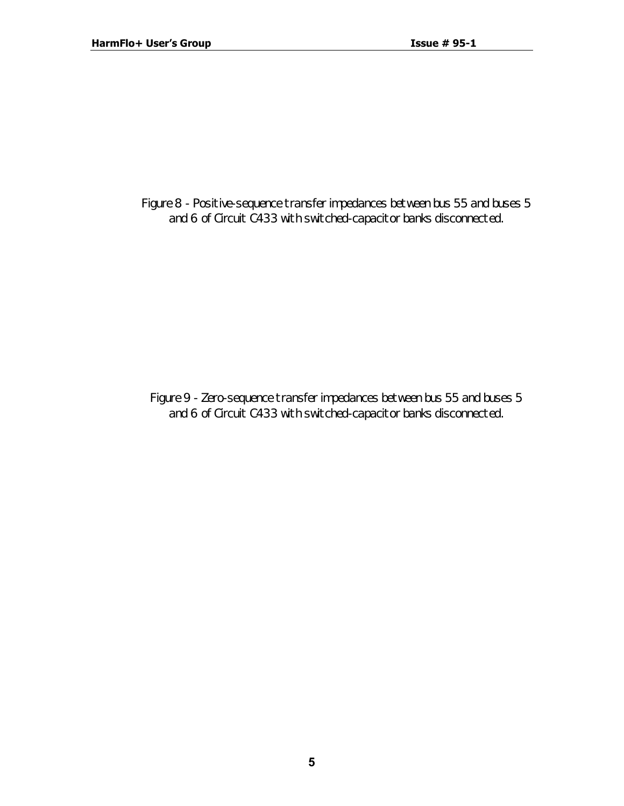*Figure 8 - Positive-sequence transfer impedances between bus 55 and buses 5 and 6 of Circuit C433 with switched-capacitor banks disconnected.*

*Figure 9 - Zero-sequence transfer impedances between bus 55 and buses 5 and 6 of Circuit C433 with switched-capacitor banks disconnected.*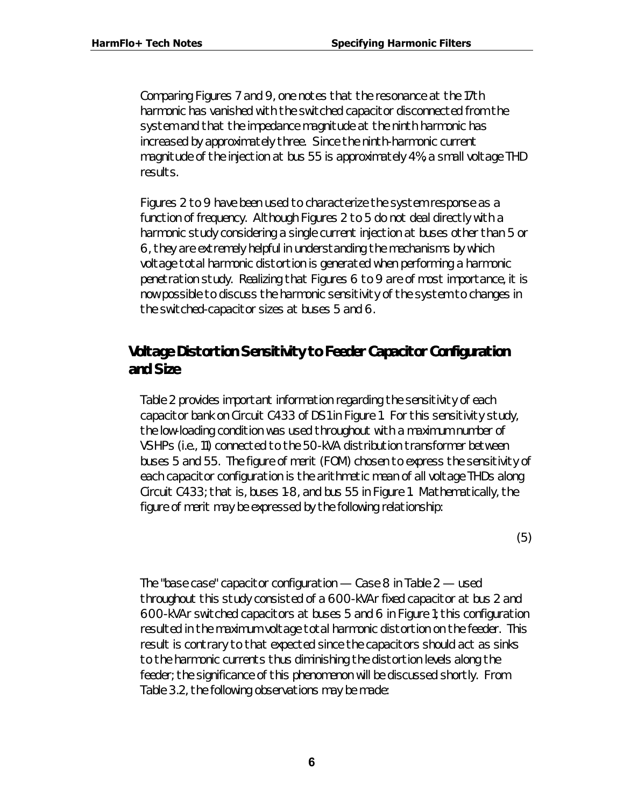Comparing Figures 7 and 9, one notes that the resonance at the 17th harmonic has vanished with the switched capacitor disconnected from the system and that the impedance magnitude at the ninth harmonic has increased by approximately three. Since the ninth-harmonic current magnitude of the injection at bus 55 is approximately 4%, a small voltage THD results.

Figures 2 to 9 have been used to characterize the system response as a function of frequency. Although Figures 2 to 5 do not deal directly with a harmonic study considering a single current injection at buses other than 5 or 6, they are extremely helpful in understanding the mechanisms by which voltage total harmonic distortion is generated when performing a harmonic penetration study. Realizing that Figures 6 to 9 are of most importance, it is now possible to discuss the harmonic sensitivity of the system to changes in the switched-capacitor sizes at buses 5 and 6.

## **Voltage Distortion Sensitivity to Feeder Capacitor Configuration and Size**

Table 2 provides important information regarding the sensitivity of each capacitor bank on Circuit C433 of DS1 in Figure 1. For this sensitivity study, the low-loading condition was used throughout with a maximum number of VSHPs (i.e., 11) connected to the 50-kVA distribution transformer between buses 5 and 55. The figure of merit (FOM) chosen to express the sensitivity of each capacitor configuration is the arithmetic mean of all voltage THDs along Circuit C433; that is, buses 1-8, and bus 55 in Figure 1. Mathematically, the figure of merit may be expressed by the following relationship:

(5)

The "base case" capacitor configuration — Case 8 in Table 2 — used throughout this study consisted of a 600-kVAr fixed capacitor at bus 2 and 600-kVAr switched capacitors at buses 5 and 6 in Figure 1; this configuration resulted in the maximum voltage total harmonic distortion on the feeder. This result is contrary to that expected since the capacitors *should* act as sinks to the harmonic currents thus diminishing the distortion levels along the feeder; the significance of this phenomenon will be discussed shortly. From Table 3.2, the following observations may be made: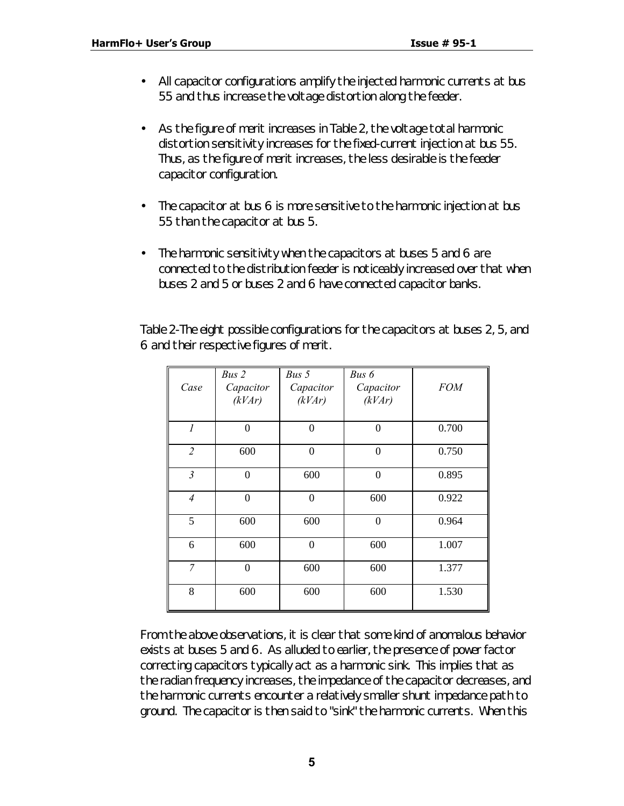- All capacitor configurations amplify the injected harmonic currents at bus 55 and thus increase the voltage distortion along the feeder.
- As the figure of merit increases in Table 2, the voltage total harmonic distortion sensitivity increases for the fixed-current injection at bus 55. Thus, as the figure of merit increases, the less desirable is the feeder capacitor configuration.
- The capacitor at bus 6 is more sensitive to the harmonic injection at bus 55 than the capacitor at bus 5.
- The harmonic sensitivity when the capacitors at buses 5 and 6 are connected to the distribution feeder is noticeably increased over that when buses 2 and 5 or buses 2 and 6 have connected capacitor banks.

Table 2-The eight possible configurations for the capacitors at buses 2, 5, and 6 and their respective figures of merit.

|                | Bus 2          | Bus 5     | Bus 6     |            |
|----------------|----------------|-----------|-----------|------------|
| Case           | Capacitor      | Capacitor | Capacitor | <b>FOM</b> |
|                | (kVAr)         | (kVAr)    | (kVAr)    |            |
|                |                |           |           |            |
| $\overline{l}$ | $\overline{0}$ | $\theta$  | $\theta$  | 0.700      |
| $\overline{2}$ | 600            | $\theta$  | $\theta$  | 0.750      |
| $\mathfrak{Z}$ | $\theta$       | 600       | $\Omega$  | 0.895      |
| $\overline{4}$ | $\theta$       | $\theta$  | 600       | 0.922      |
| 5              | 600            | 600       | $\theta$  | 0.964      |
| 6              | 600            | $\theta$  | 600       | 1.007      |
| $\overline{7}$ | $\theta$       | 600       | 600       | 1.377      |
| 8              | 600            | 600       | 600       | 1.530      |

From the above observations, it is clear that some kind of anomalous behavior exists at buses 5 and 6. As alluded to earlier, the presence of power factor correcting capacitors typically act as a *harmonic sink*. This implies that as the radian frequency increases, the impedance of the capacitor decreases, and the harmonic currents encounter a relatively smaller shunt impedance path to ground. The capacitor is then said to "sink" the harmonic currents. When this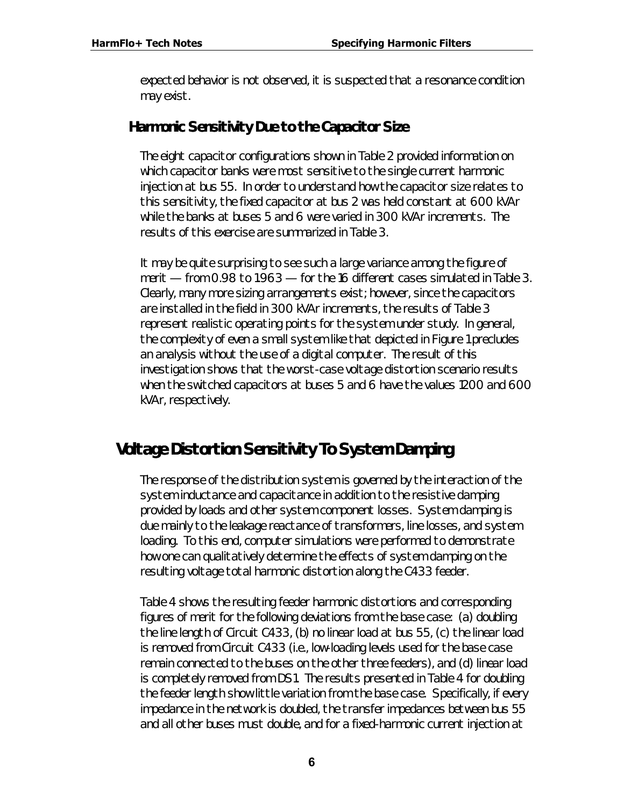expected behavior is not observed, it is suspected that a resonance condition may exist.

## **Harmonic Sensitivity Due to the Capacitor Size**

The eight capacitor configurations shown in Table 2 provided information on which capacitor banks were most sensitive to the single current harmonic injection at bus 55. In order to understand how the capacitor size relates to this sensitivity, the fixed capacitor at bus 2 was held constant at 600 kVAr while the banks at buses 5 and 6 were varied in 300 kVAr increments. The results of this exercise are summarized in Table 3.

It may be quite surprising to see such a large variance among the figure of merit — from 0.98 to 1.963 — for the 16 different cases simulated in Table 3. Clearly, many more sizing arrangements exist; however, since the capacitors are installed in the field in 300 kVAr increments, the results of Table 3 represent realistic operating points for the system under study. In general, the complexity of even a small system like that depicted in Figure 1 precludes an analysis without the use of a digital computer. The result of this investigation shows that the worst-case voltage distortion scenario results when the switched capacitors at buses 5 and 6 have the values 1200 and 600 kVAr, respectively.

# *Voltage Distortion Sensitivity To System Damping*

The response of the distribution system is governed by the interaction of the system inductance and capacitance in addition to the resistive damping provided by loads and other system component losses. System damping is due mainly to the leakage reactance of transformers, line losses, and system loading. To this end, computer simulations were performed to demonstrate how one can *qualitatively* determine the effects of system damping on the resulting voltage total harmonic distortion along the C433 feeder.

Table 4 shows the resulting feeder harmonic distortions and corresponding figures of merit for the following deviations from the base case: *(a)* doubling the line length of Circuit C433, *(b)* no linear load at bus 55, *(c)* the linear load is removed from Circuit C433 (i.e., low-loading levels used for the base case remain connected to the buses on the other three feeders), and *(d)* linear load is completely removed from DS1. The results presented in Table 4 for doubling the feeder length show little variation from the base case. Specifically, if every impedance in the network is doubled, the transfer impedances between bus 55 and all other buses must double, and for a fixed-harmonic current injection at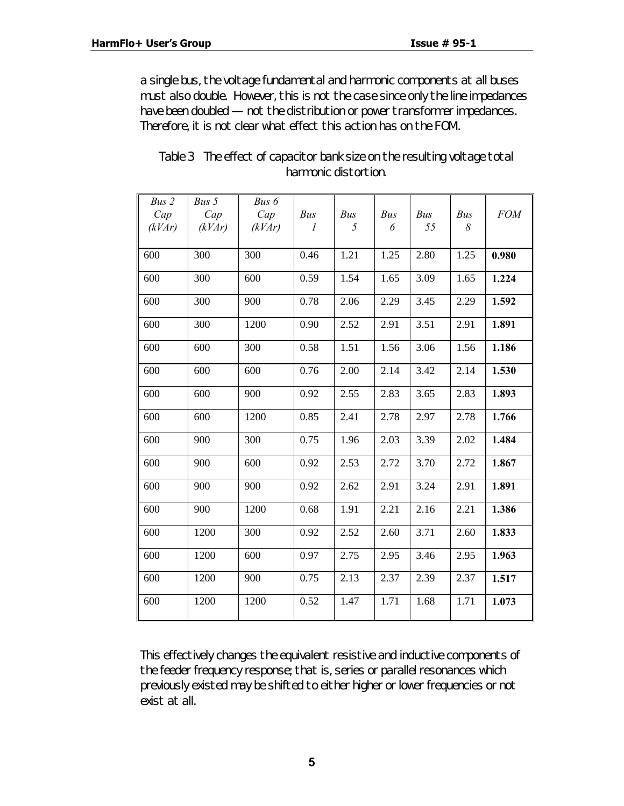a single bus, the voltage fundamental and harmonic components at all buses must also double. However, this is not the case since *only the line impedances have been doubled* — not the distribution or power transformer impedances. Therefore, it is not clear what effect this action has on the FOM.

| Bus2   | Bus $5$ | Bus 6  |      |      |      |      |      |            |
|--------|---------|--------|------|------|------|------|------|------------|
| Cap    | Cap     | Cap    | Bus  | Bus  | Bus  | Bus  | Bus  | <b>FOM</b> |
| (kVAr) | (kVAr)  | (kVAr) | 1    | 5    | 6    | 55   | 8    |            |
|        |         |        |      |      |      |      |      |            |
| 600    | 300     | 300    | 0.46 | 1.21 | 1.25 | 2.80 | 1.25 | 0.980      |
|        |         |        |      |      |      |      |      |            |
| 600    | 300     | 600    | 0.59 | 1.54 | 1.65 | 3.09 | 1.65 | 1.224      |
|        |         |        |      |      |      |      |      |            |
| 600    | 300     | 900    | 0.78 | 2.06 | 2.29 | 3.45 | 2.29 | 1.592      |
|        |         |        |      |      |      |      |      |            |
| 600    | 300     | 1200   | 0.90 | 2.52 | 2.91 | 3.51 | 2.91 | 1.891      |
|        |         |        |      |      |      |      |      |            |
| 600    | 600     | 300    | 0.58 | 1.51 | 1.56 | 3.06 | 1.56 | 1.186      |
|        |         |        |      |      |      |      |      |            |
| 600    | 600     | 600    | 0.76 | 2.00 | 2.14 | 3.42 | 2.14 | 1.530      |
|        |         |        |      |      |      |      |      |            |
| 600    | 600     | 900    | 0.92 | 2.55 | 2.83 | 3.65 | 2.83 | 1.893      |
|        |         |        |      |      |      |      |      |            |
| 600    | 600     | 1200   | 0.85 | 2.41 | 2.78 | 2.97 | 2.78 | 1.766      |
|        |         |        |      |      |      |      |      |            |
| 600    | 900     | 300    | 0.75 | 1.96 | 2.03 | 3.39 | 2.02 | 1.484      |
|        |         |        |      |      |      |      |      |            |
| 600    | 900     | 600    | 0.92 | 2.53 | 2.72 | 3.70 | 2.72 |            |
|        |         |        |      |      |      |      |      | 1.867      |
|        |         |        |      |      |      |      |      |            |
| 600    | 900     | 900    | 0.92 | 2.62 | 2.91 | 3.24 | 2.91 | 1.891      |
|        |         |        |      |      |      |      |      |            |
| 600    | 900     | 1200   | 0.68 | 1.91 | 2.21 | 2.16 | 2.21 | 1.386      |
|        |         |        |      |      |      |      |      |            |
| 600    | 1200    | 300    | 0.92 | 2.52 | 2.60 | 3.71 | 2.60 | 1.833      |
|        |         |        |      |      |      |      |      |            |
| 600    | 1200    | 600    | 0.97 | 2.75 | 2.95 | 3.46 | 2.95 | 1.963      |
|        |         |        |      |      |      |      |      |            |
| 600    | 1200    | 900    | 0.75 | 2.13 | 2.37 | 2.39 | 2.37 | 1.517      |
|        |         |        |      |      |      |      |      |            |
| 600    | 1200    | 1200   | 0.52 | 1.47 | 1.71 | 1.68 | 1.71 | 1.073      |
|        |         |        |      |      |      |      |      |            |

*Table 3 The effect of capacitor bank size on the resulting voltage total harmonic distortion.*

This effectively changes the equivalent resistive and inductive components of the feeder frequency response; that is, series or parallel resonances which previously existed may be shifted to either higher or lower frequencies or not exist at all.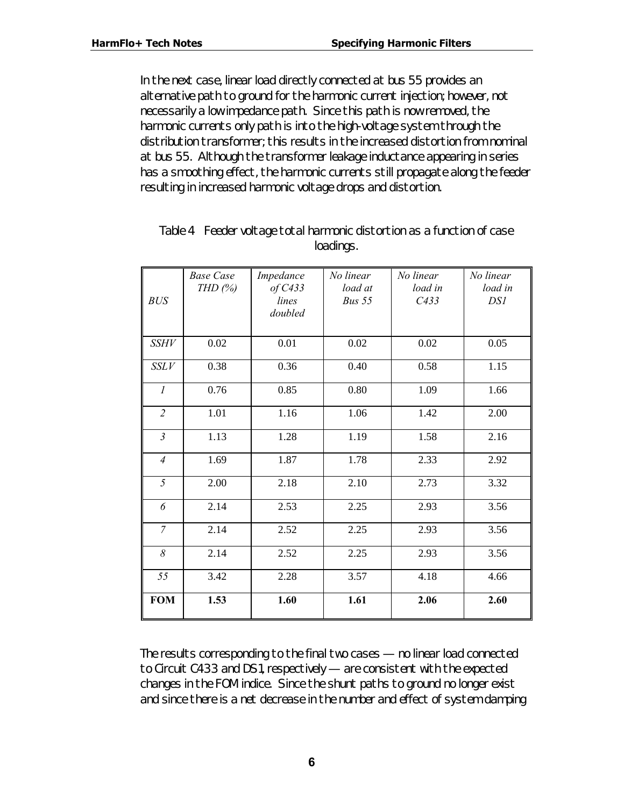In the next case, linear load directly connected at bus 55 provides an alternative path to ground for the harmonic current injection; however, not necessarily a low impedance path. Since this path is now removed, the harmonic currents only path is into the high-voltage system through the distribution transformer; this results in the increased distortion from nominal at bus 55. Although the transformer leakage inductance appearing in series has a smoothing effect, the harmonic currents still propagate along the feeder resulting in increased harmonic voltage drops and distortion.

| BUS              | <b>Base Case</b><br>THD $(\%)$ | Impedance<br>of C433<br>lines<br>doubled | No linear<br>load at<br>Bus 55 | No linear<br>load in<br>C433 | No linear<br>load in<br>DS1 |
|------------------|--------------------------------|------------------------------------------|--------------------------------|------------------------------|-----------------------------|
| <b>SSHV</b>      | 0.02                           | 0.01                                     | 0.02                           | 0.02                         | 0.05                        |
| SSLV             | 0.38                           | 0.36                                     | 0.40                           | 0.58                         | 1.15                        |
| $\boldsymbol{l}$ | 0.76                           | 0.85                                     | 0.80                           | 1.09                         | 1.66                        |
| $\overline{2}$   | 1.01                           | 1.16                                     | 1.06                           | 1.42                         | 2.00                        |
| $\mathfrak{Z}$   | 1.13                           | 1.28                                     | 1.19                           | 1.58                         | 2.16                        |
| $\overline{4}$   | 1.69                           | 1.87                                     | 1.78                           | 2.33                         | 2.92                        |
| 5                | 2.00                           | 2.18                                     | 2.10                           | 2.73                         | 3.32                        |
| 6                | 2.14                           | 2.53                                     | 2.25                           | 2.93                         | 3.56                        |
| $\overline{7}$   | 2.14                           | 2.52                                     | 2.25                           | 2.93                         | 3.56                        |
| 8                | 2.14                           | 2.52                                     | 2.25                           | 2.93                         | 3.56                        |
| 55               | 3.42                           | 2.28                                     | 3.57                           | 4.18                         | 4.66                        |
| <b>FOM</b>       | 1.53                           | 1.60                                     | 1.61                           | 2.06                         | 2.60                        |

*Table 4 Feeder voltage total harmonic distortion as a function of case loadings.*

The results corresponding to the final two cases — no linear load connected to Circuit C433 and DS1, respectively — are consistent with the expected changes in the FOM indice. Since the shunt paths to ground no longer exist and since there is a net decrease in the number and effect of system damping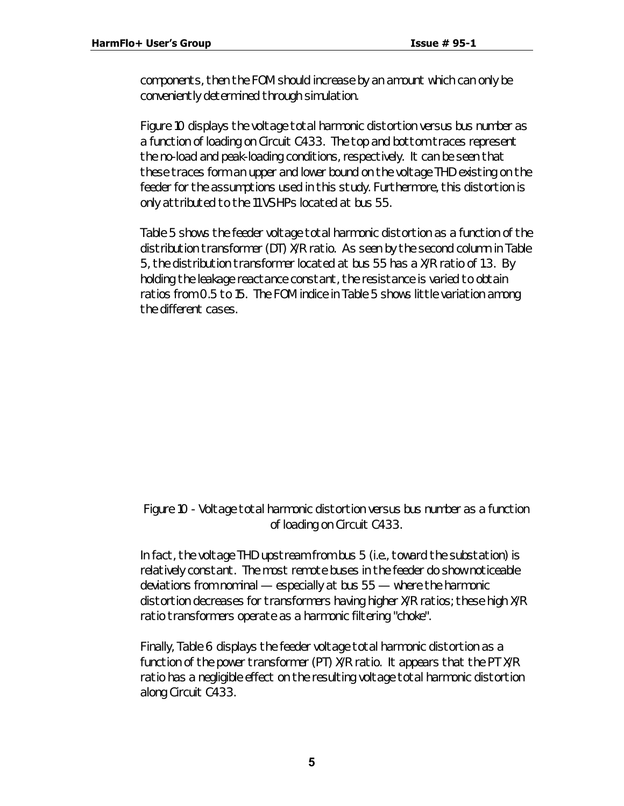components, then the FOM should increase by an amount which can only be conveniently determined through simulation.

Figure 10 displays the voltage total harmonic distortion versus bus number as a function of loading on Circuit C433. The top and bottom traces represent the no-load and peak-loading conditions, respectively. It can be seen that these traces form an upper and lower bound on the voltage THD existing on the feeder for the assumptions used in this study. Furthermore, this distortion is only attributed to the 11 VSHPs located at bus 55.

Table 5 shows the feeder voltage total harmonic distortion as a function of the distribution transformer (DT) X/R ratio. As seen by the second column in Table 5, the distribution transformer located at bus 55 has a X/R ratio of 1.3. By holding the leakage reactance constant, the resistance is varied to obtain ratios from 0.5 to 15. The FOM indice in Table 5 shows little variation among the different cases.

#### *Figure 10 - Voltage total harmonic distortion versus bus number as a function of loading on Circuit C433.*

In fact, the voltage THD upstream from bus 5 (i.e., toward the substation) is relatively constant. The most remote buses in the feeder do show noticeable deviations from nominal — especially at bus 55 — where the harmonic distortion decreases for transformers having higher X/R ratios; these high X/R ratio transformers operate as a harmonic filtering "choke".

Finally, Table 6 displays the feeder voltage total harmonic distortion as a function of the power transformer (PT) X/R ratio. It appears that the PT X/R ratio has a negligible effect on the resulting voltage total harmonic distortion along Circuit C433.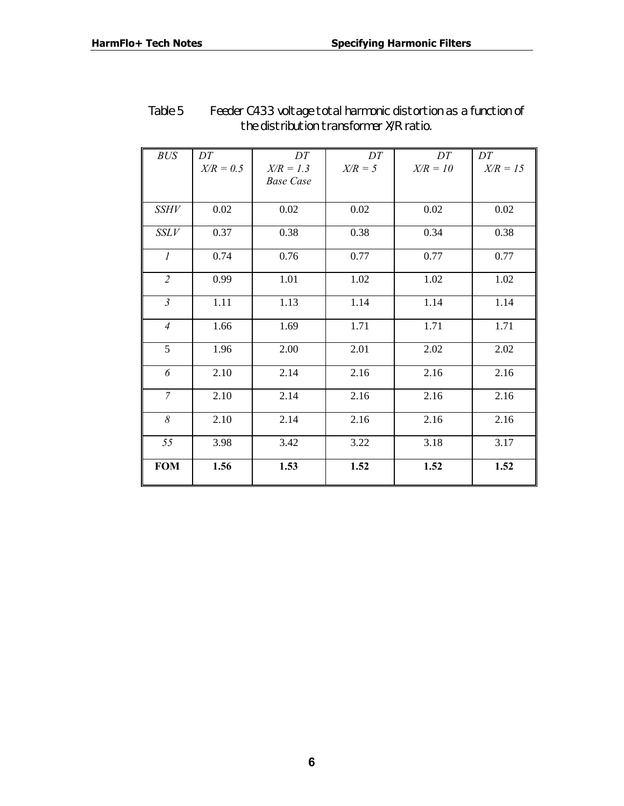| <b>BUS</b>     | DT          | DT               | DT        | DT         | DT         |
|----------------|-------------|------------------|-----------|------------|------------|
|                | $X/R = 0.5$ | $X/R = 1.3$      | $X/R = 5$ | $X/R = 10$ | $X/R = 15$ |
|                |             | <b>Base Case</b> |           |            |            |
|                |             |                  |           |            |            |
| <i>SSHV</i>    | 0.02        | 0.02             | $0.02\,$  | 0.02       | 0.02       |
| SSLV           | 0.37        | 0.38             | 0.38      | 0.34       | 0.38       |
| $\mathcal{I}$  | 0.74        | 0.76             | 0.77      | 0.77       | 0.77       |
| $\overline{2}$ | 0.99        | 1.01             | 1.02      | 1.02       | 1.02       |
| $\mathfrak{Z}$ | 1.11        | 1.13             | 1.14      | 1.14       | 1.14       |
| $\overline{4}$ | 1.66        | 1.69             | 1.71      | 1.71       | 1.71       |
| 5              | 1.96        | 2.00             | 2.01      | 2.02       | 2.02       |
| 6              | 2.10        | 2.14             | 2.16      | 2.16       | 2.16       |
| $\overline{7}$ | 2.10        | 2.14             | 2.16      | 2.16       | 2.16       |
| 8              | 2.10        | 2.14             | 2.16      | 2.16       | 2.16       |
| 55             | 3.98        | 3.42             | 3.22      | 3.18       | 3.17       |
| <b>FOM</b>     | 1.56        | 1.53             | 1.52      | 1.52       | 1.52       |

## *Table 5 Feeder C433 voltage total harmonic distortion as a function of the distribution transformer X/R ratio.*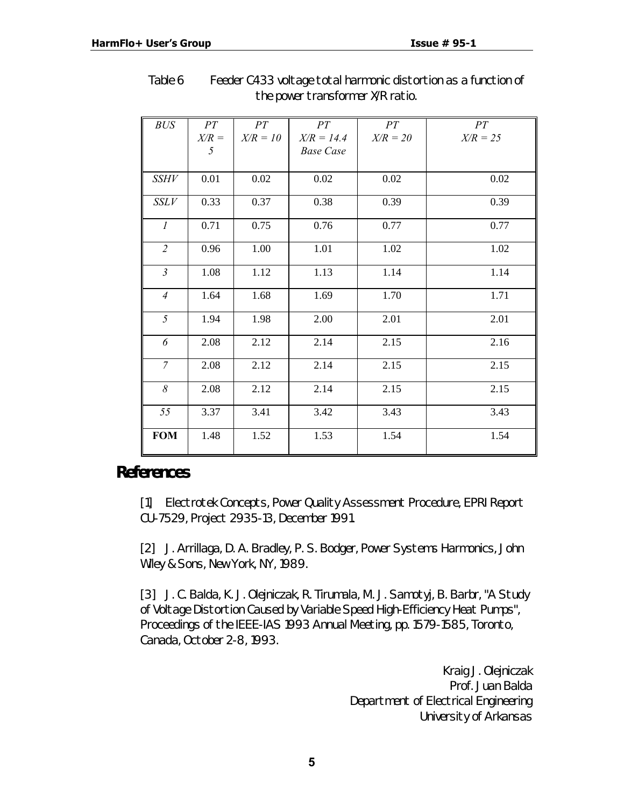| <b>BUS</b>     | PT      | PT         | PT               | PT         | PT         |
|----------------|---------|------------|------------------|------------|------------|
|                | $X/R =$ | $X/R = 10$ | $X/R = 14.4$     | $X/R = 20$ | $X/R = 25$ |
|                | 5       |            | <b>Base Case</b> |            |            |
|                |         |            |                  |            |            |
| <i>SSHV</i>    | 0.01    | 0.02       | 0.02             | 0.02       | 0.02       |
| SSLV           | 0.33    | 0.37       | 0.38             | 0.39       | 0.39       |
| $\mathcal{I}$  | 0.71    | 0.75       | 0.76             | 0.77       | 0.77       |
| $\overline{2}$ | 0.96    | 1.00       | 1.01             | 1.02       | 1.02       |
| $\mathfrak{Z}$ | 1.08    | 1.12       | 1.13             | 1.14       | 1.14       |
| $\overline{4}$ | 1.64    | 1.68       | 1.69             | 1.70       | 1.71       |
| 5              | 1.94    | 1.98       | 2.00             | 2.01       | 2.01       |
| 6              | 2.08    | 2.12       | 2.14             | 2.15       | 2.16       |
| $\overline{7}$ | 2.08    | 2.12       | 2.14             | 2.15       | 2.15       |
| 8              | 2.08    | 2.12       | 2.14             | 2.15       | 2.15       |
| 55             | 3.37    | 3.41       | 3.42             | 3.43       | 3.43       |
| <b>FOM</b>     | 1.48    | 1.52       | 1.53             | 1.54       | 1.54       |

*Table 6 Feeder C433 voltage total harmonic distortion as a function of the power transformer X/R ratio.*

## *References*

[1] Electrotek Concepts, *Power Quality Assessment Procedure*, EPRI Report CU-7529, Project 2935-13, December 1991.

[2] J. Arrillaga, D. A. Bradley, P. S. Bodger, *Power Systems Harmonics*, John Wiley & Sons, New York, NY, 1989.

[3] J. C. Balda, K. J. Olejniczak, R. Tirumala, M. J. Samotyj, B. Barbr, "A Study of Voltage Distortion Caused by Variable Speed High-Efficiency Heat Pumps", *Proceedings of the IEEE-IAS 1993 Annual Meeting*, pp. 1579-1585, Toronto, Canada, October 2-8, 1993.

> Kraig J. Olejniczak Prof. Juan Balda Department of Electrical Engineering University of Arkansas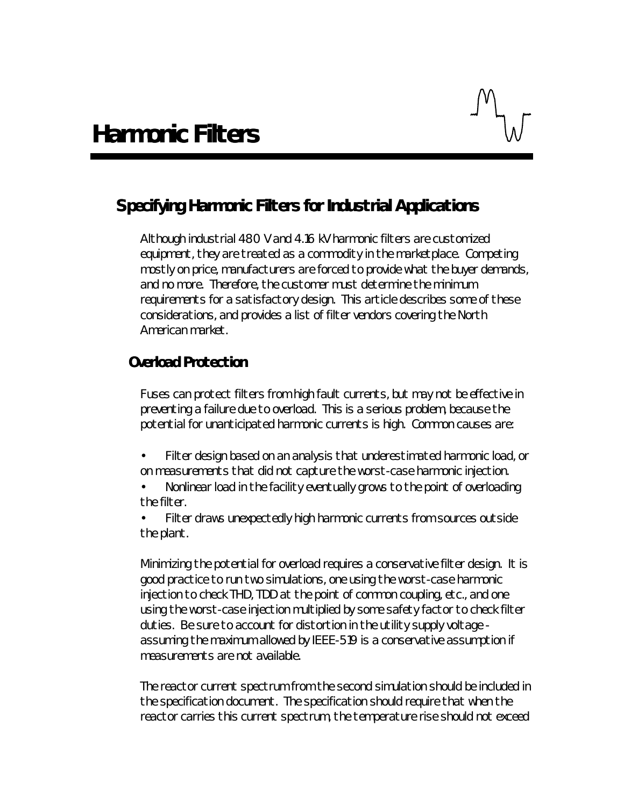# *Specifying Harmonic Filters for Industrial Applications*

Although industrial 480 V and 4.16 kV harmonic filters are customized equipment, they are treated as a commodity in the marketplace. Competing mostly on price, manufacturers are forced to provide what the buyer demands, and no more. Therefore, the customer must determine the minimum requirements for a satisfactory design. This article describes some of these considerations, and provides a list of filter vendors covering the North American market.

## **Overload Protection**

Fuses can protect filters from high fault currents, but may not be effective in preventing a failure due to overload. This is a serious problem, because the potential for unanticipated harmonic currents is high. Common causes are:

- Filter design based on an analysis that underestimated harmonic load, or on measurements that did not capture the worst-case harmonic injection.
- Nonlinear load in the facility eventually grows to the point of overloading the filter.

Filter draws unexpectedly high harmonic currents from sources outside the plant.

Minimizing the potential for overload requires a conservative filter design. It is good practice to run two simulations, one using the worst-case harmonic injection to check THD, TDD at the point of common coupling, etc., and one using the worst-case injection multiplied by some safety factor to check filter duties. Be sure to account for distortion in the utility supply voltage assuming the maximum allowed by IEEE-519 is a conservative assumption if measurements are not available.

The reactor current spectrum from the second simulation should be included in the specification document. The specification should require that when the reactor carries this current spectrum, the temperature rise should not exceed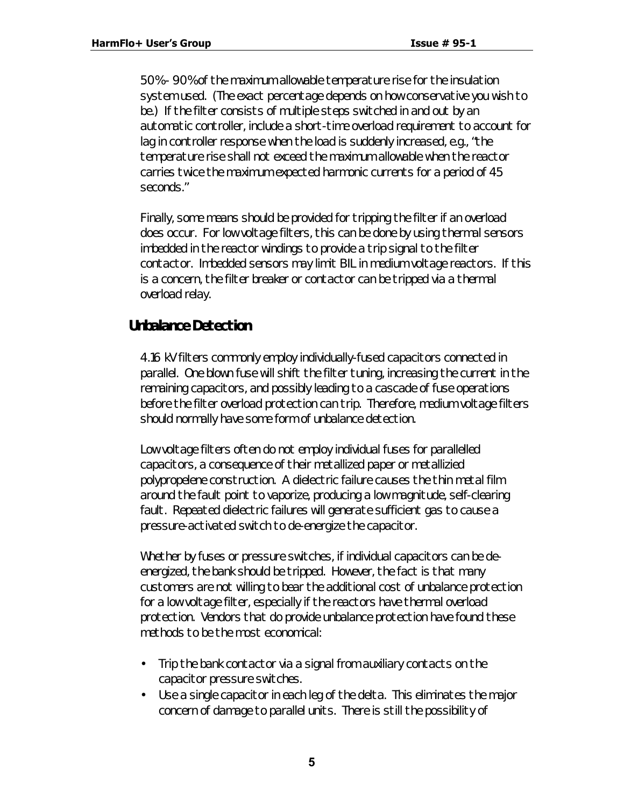50% - 90% of the maximum allowable temperature rise for the insulation system used. (The exact percentage depends on how conservative you wish to be.) If the filter consists of multiple steps switched in and out by an automatic controller, include a short-time overload requirement to account for lag in controller response when the load is suddenly increased, e.g., "the temperature rise shall not exceed the maximum allowable when the reactor carries twice the maximum expected harmonic currents for a period of 45 seconds."

Finally, some means should be provided for tripping the filter if an overload does occur. For low voltage filters, this can be done by using thermal sensors imbedded in the reactor windings to provide a trip signal to the filter contactor. Imbedded sensors may limit BIL in medium voltage reactors. If this is a concern, the filter breaker or contactor can be tripped via a thermal overload relay.

## **Unbalance Detection**

4.16 kV filters commonly employ individually-fused capacitors connected in parallel. One blown fuse will shift the filter tuning, increasing the current in the remaining capacitors, and possibly leading to a cascade of fuse operations before the filter overload protection can trip. Therefore, medium voltage filters should normally have some form of unbalance detection.

Low voltage filters often do not employ individual fuses for parallelled capacitors, a consequence of their metallized paper or metallizied polypropelene construction. A dielectric failure causes the thin metal film around the fault point to vaporize, producing a low magnitude, self-clearing fault. Repeated dielectric failures will generate sufficient gas to cause a pressure-activated switch to de-energize the capacitor.

Whether by fuses or pressure switches, if individual capacitors can be deenergized, the bank should be tripped. However, the fact is that many customers are not willing to bear the additional cost of unbalance protection for a low voltage filter, especially if the reactors have thermal overload protection. Vendors that do provide unbalance protection have found these methods to be the most economical:

- Trip the bank contactor via a signal from auxiliary contacts on the capacitor pressure switches.
- Use a single capacitor in each leg of the delta. This eliminates the major concern of damage to parallel units. There is still the possibility of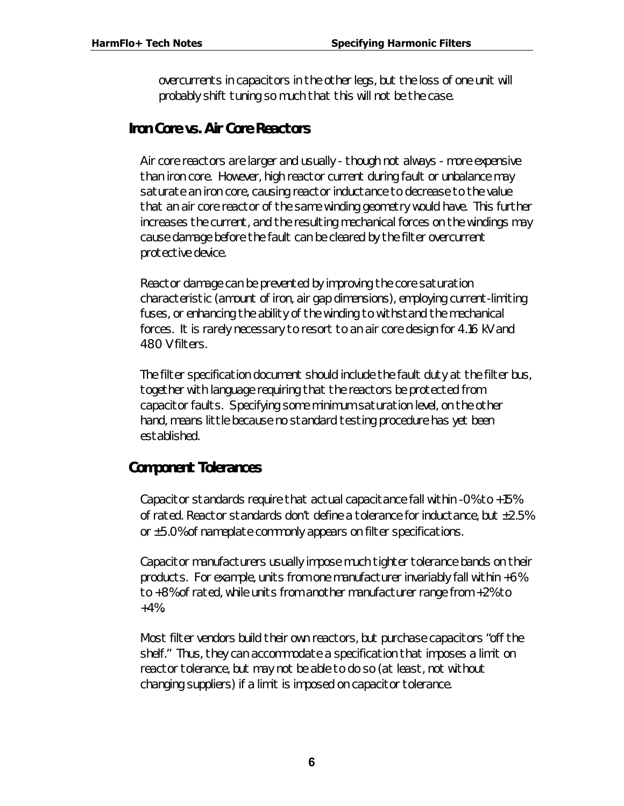overcurrents in capacitors in the other legs, but the loss of one unit will probably shift tuning so much that this will not be the case.

## **Iron Core vs. Air Core Reactors**

Air core reactors are larger and usually - though not always - more expensive than iron core. However, high reactor current during fault or unbalance may saturate an iron core, causing reactor inductance to decrease to the value that an air core reactor of the same winding geometry would have. This further increases the current, and the resulting mechanical forces on the windings may cause damage before the fault can be cleared by the filter overcurrent protective device.

Reactor damage can be prevented by improving the core saturation characteristic (amount of iron, air gap dimensions), employing current-limiting fuses, or enhancing the ability of the winding to withstand the mechanical forces. It is rarely necessary to resort to an air core design for 4.16 kV and 480 V filters.

The filter specification document should include the fault duty at the filter bus, together with language requiring that the reactors be protected from capacitor faults. Specifying some minimum saturation level, on the other hand, means little because no standard testing procedure has yet been established.

## **Component Tolerances**

Capacitor standards require that actual capacitance fall within -0% to +15% of rated. Reactor standards don't define a tolerance for inductance, but ±2.5% or ±5.0% of nameplate commonly appears on filter specifications.

Capacitor manufacturers usually impose much tighter tolerance bands on their products. For example, units from one manufacturer invariably fall within +6% to +8% of rated, while units from another manufacturer range from +2% to  $+4%$ .

Most filter vendors build their own reactors, but purchase capacitors "off the shelf." Thus, they can accommodate a specification that imposes a limit on reactor tolerance, but may not be able to do so (at least, not without changing suppliers) if a limit is imposed on capacitor tolerance.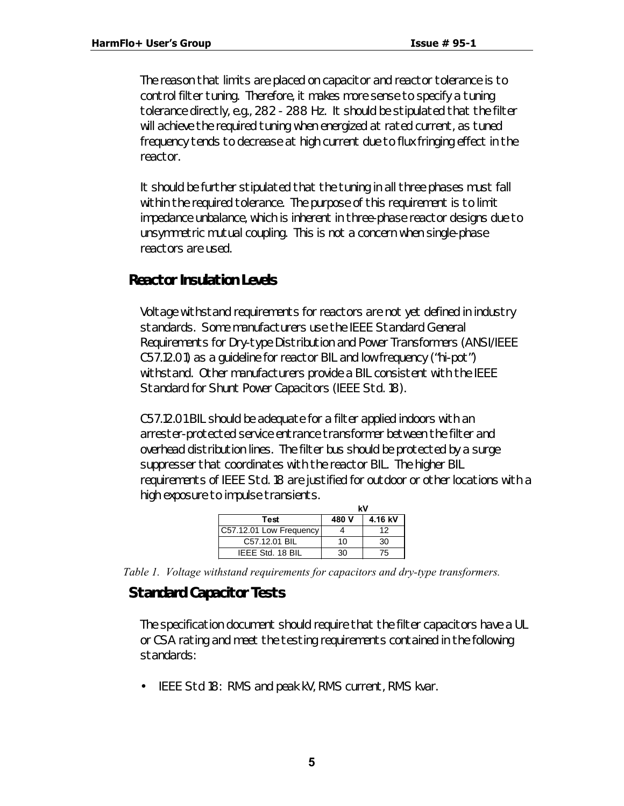The reason that limits are placed on capacitor and reactor tolerance is to control filter tuning. Therefore, it makes more sense to specify a tuning tolerance directly, e.g., 282 - 288 Hz. It should be stipulated that the filter will achieve the required tuning when energized at rated current, as tuned frequency tends to decrease at high current due to flux fringing effect in the reactor.

It should be further stipulated that the tuning in all three phases must fall within the required tolerance. The purpose of this requirement is to limit impedance unbalance, which is inherent in three-phase reactor designs due to unsymmetric mutual coupling. This is not a concern when single-phase reactors are used.

## **Reactor Insulation Levels**

Voltage withstand requirements for reactors are not yet defined in industry standards. Some manufacturers use the *IEEE Standard General Requirements for Dry-type Distribution and Power Transformers* (ANSI/IEEE C57.12.01) as a guideline for reactor BIL and low frequency ("hi-pot") withstand. Other manufacturers provide a BIL consistent with the *IEEE Standard for Shunt Power Capacitors* (IEEE Std. 18).

C57.12.01 BIL should be adequate for a filter applied indoors with an arrester-protected service entrance transformer between the filter and overhead distribution lines. The filter bus should be protected by a surge suppresser that coordinates with the reactor BIL. The higher BIL requirements of IEEE Std. 18 are justified for outdoor or other locations with a high exposure to impulse transients.

|                         | kV    |         |  |  |
|-------------------------|-------|---------|--|--|
| Test                    | 480 V | 4.16 kV |  |  |
| C57.12.01 Low Frequency |       | 12      |  |  |
| C57.12.01 BIL           | 10    | 30      |  |  |
| IEEE Std. 18 BIL        | 30    | 75      |  |  |

*Table 1. Voltage withstand requirements for capacitors and dry-type transformers.*

## **Standard Capacitor Tests**

The specification document should require that the filter capacitors have a UL or CSA rating and meet the testing requirements contained in the following standards:

• IEEE Std 18: RMS and peak kV, RMS current, RMS kvar.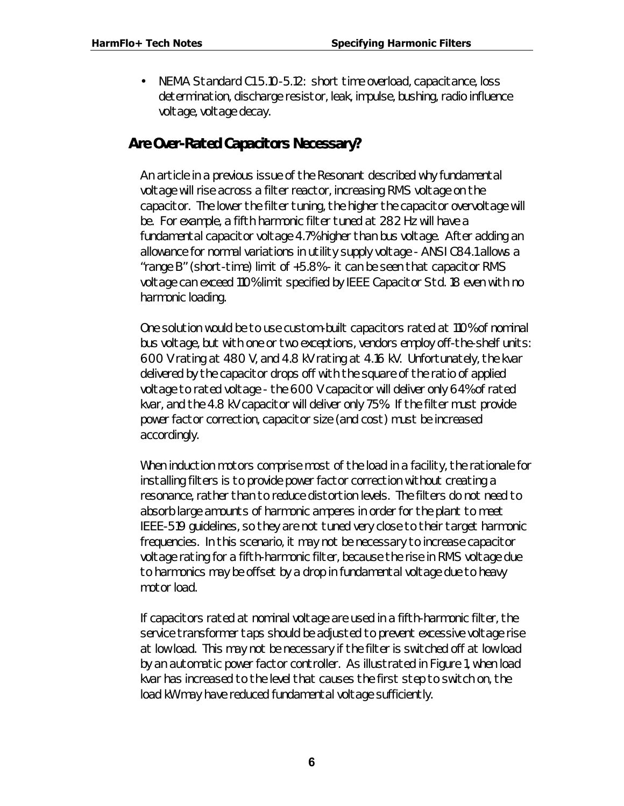• NEMA Standard C1 5.10-5.12: short time overload, capacitance, loss determination, discharge resistor, leak, impulse, bushing, radio influence voltage, voltage decay.

## **Are Over-Rated Capacitors Necessary?**

An article in a previous issue of the *Resonant* described why fundamental voltage will rise across a filter reactor, increasing RMS voltage on the capacitor. The lower the filter tuning, the higher the capacitor overvoltage will be. For example, a fifth harmonic filter tuned at 282 Hz will have a fundamental capacitor voltage 4.7% higher than bus voltage. After adding an allowance for normal variations in utility supply voltage - ANSI C84.1 allows a "range B" (short-time) limit of +5.8% - it can be seen that capacitor RMS voltage can exceed 110% limit specified by IEEE Capacitor Std. 18 even with no harmonic loading.

One solution would be to use custom-built capacitors rated at 110% of nominal bus voltage, but with one or two exceptions, vendors employ off-the-shelf units: 600 V rating at 480 V, and 4.8 kV rating at 4.16 kV. Unfortunately, the kvar delivered by the capacitor drops off with the square of the ratio of applied voltage to rated voltage - the 600 V capacitor will deliver only 64% of rated kvar, and the 4.8 kV capacitor will deliver only 75%. If the filter must provide power factor correction, capacitor size (and cost) must be increased accordingly.

When induction motors comprise most of the load in a facility, the rationale for installing filters is to provide power factor correction without creating a resonance, rather than to reduce distortion levels. The filters do not need to absorb large amounts of harmonic amperes in order for the plant to meet IEEE-519 guidelines, so they are not tuned very close to their target harmonic frequencies. In this scenario, it may not be necessary to increase capacitor voltage rating for a fifth-harmonic filter, because the rise in RMS voltage due to harmonics may be offset by a drop in fundamental voltage due to heavy motor load.

If capacitors rated at nominal voltage are used in a fifth-harmonic filter, the service transformer taps should be adjusted to prevent excessive voltage rise at low load. This may not be necessary if the filter is switched off at low load by an automatic power factor controller. As illustrated in Figure 1, when load kvar has increased to the level that causes the first step to switch on, the load kW may have reduced fundamental voltage sufficiently.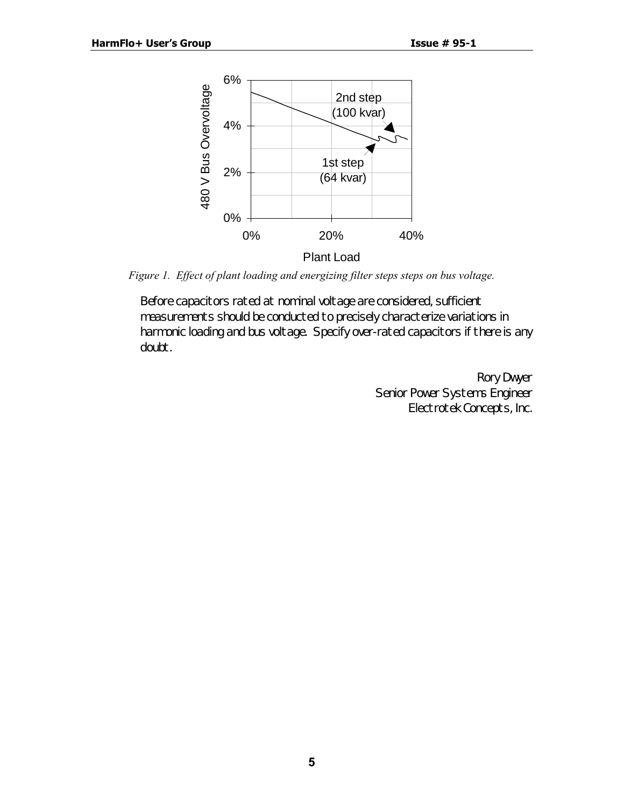

*Figure 1. Effect of plant loading and energizing filter steps steps on bus voltage.*

Before capacitors rated at nominal voltage are considered, sufficient measurements should be conducted to precisely characterize variations in harmonic loading and bus voltage. Specify over-rated capacitors if there is any doubt.

> Rory Dwyer Senior Power Systems Engineer Electrotek Concepts, Inc.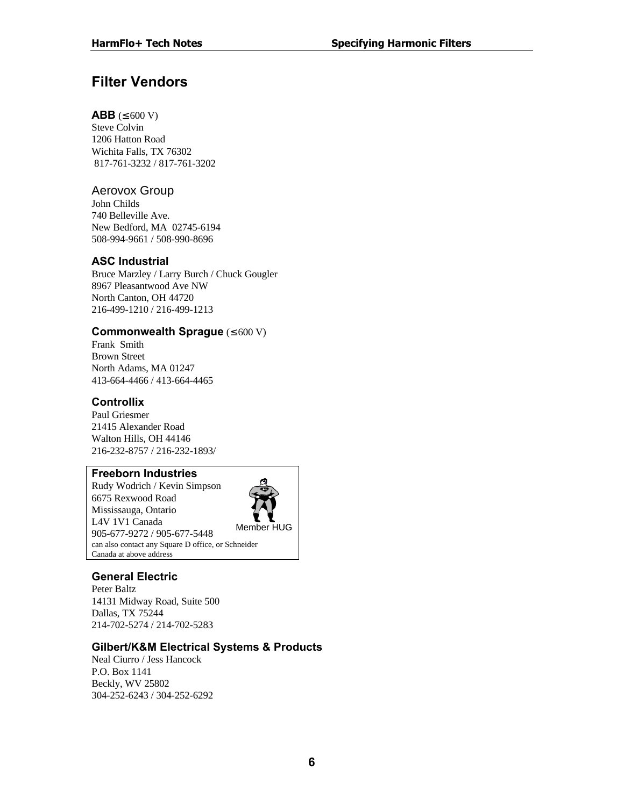# **Filter Vendors**

#### **ABB** (≤  $600 V$ )

Steve Colvin 1206 Hatton Road Wichita Falls, TX 76302 817-761-3232 / 817-761-3202

#### Aerovox Group

John Childs 740 Belleville Ave. New Bedford, MA 02745-6194 508-994-9661 / 508-990-8696

#### **ASC Industrial**

Bruce Marzley / Larry Burch / Chuck Gougler 8967 Pleasantwood Ave NW North Canton, OH 44720 216-499-1210 / 216-499-1213

#### **Commonwealth Sprague** (≤ 600 V)

Frank Smith Brown Street North Adams, MA 01247 413-664-4466 / 413-664-4465

#### **Controllix**

Paul Griesmer 21415 Alexander Road Walton Hills, OH 44146 216-232-8757 / 216-232-1893/

#### **Freeborn Industries**

Rudy Wodrich / Kevin Simpson 6675 Rexwood Road Mississauga, Ontario L4V 1V1 Canada 905-677-9272 / 905-677-5448 Member HUG can also contact any Square D office, or Schneider Canada at above address



#### **General Electric**

Peter Baltz 14131 Midway Road, Suite 500 Dallas, TX 75244 214-702-5274 / 214-702-5283

#### **Gilbert/K&M Electrical Systems & Products**

Neal Ciurro / Jess Hancock P.O. Box 1141 Beckly, WV 25802 304-252-6243 / 304-252-6292